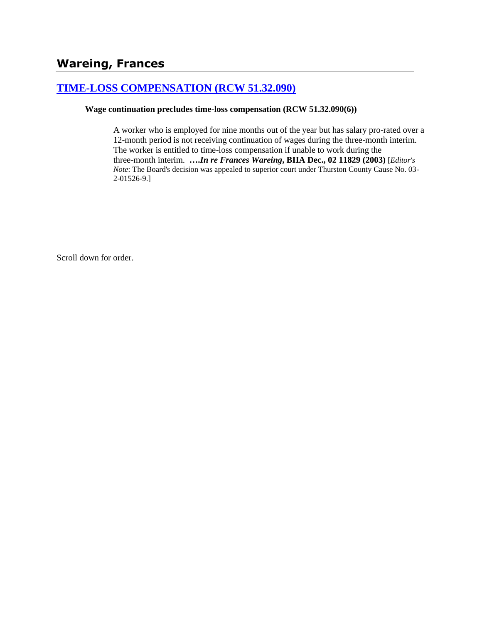## **[TIME-LOSS COMPENSATION \(RCW 51.32.090\)](http://www.biia.wa.gov/SDSubjectIndex.html#TIME_LOSS_COMPENSATION)**

#### **Wage continuation precludes time-loss compensation (RCW 51.32.090(6))**

A worker who is employed for nine months out of the year but has salary pro-rated over a 12-month period is not receiving continuation of wages during the three-month interim. The worker is entitled to time-loss compensation if unable to work during the three-month interim. **….***In re Frances Wareing***, BIIA Dec., 02 11829 (2003)** [*Editor's Note*: The Board's decision was appealed to superior court under Thurston County Cause No. 03- 2-01526-9.]

Scroll down for order.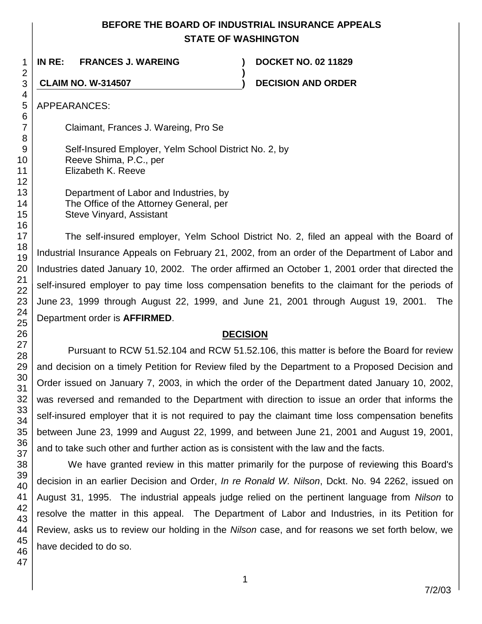## **BEFORE THE BOARD OF INDUSTRIAL INSURANCE APPEALS STATE OF WASHINGTON**

**)**

**IN RE: FRANCES J. WAREING ) DOCKET NO. 02 11829**

**CLAIM NO. W-314507 ) DECISION AND ORDER**

APPEARANCES:

Claimant, Frances J. Wareing, Pro Se

Self-Insured Employer, Yelm School District No. 2, by Reeve Shima, P.C., per Elizabeth K. Reeve

Department of Labor and Industries, by The Office of the Attorney General, per Steve Vinyard, Assistant

The self-insured employer, Yelm School District No. 2, filed an appeal with the Board of Industrial Insurance Appeals on February 21, 2002, from an order of the Department of Labor and Industries dated January 10, 2002. The order affirmed an October 1, 2001 order that directed the self-insured employer to pay time loss compensation benefits to the claimant for the periods of June 23, 1999 through August 22, 1999, and June 21, 2001 through August 19, 2001. The Department order is **AFFIRMED**.

## **DECISION**

Pursuant to RCW 51.52.104 and RCW 51.52.106, this matter is before the Board for review and decision on a timely Petition for Review filed by the Department to a Proposed Decision and Order issued on January 7, 2003, in which the order of the Department dated January 10, 2002, was reversed and remanded to the Department with direction to issue an order that informs the self-insured employer that it is not required to pay the claimant time loss compensation benefits between June 23, 1999 and August 22, 1999, and between June 21, 2001 and August 19, 2001, and to take such other and further action as is consistent with the law and the facts.

We have granted review in this matter primarily for the purpose of reviewing this Board's decision in an earlier Decision and Order, *In re Ronald W. Nilson*, Dckt. No. 94 2262, issued on August 31, 1995. The industrial appeals judge relied on the pertinent language from *Nilson* to resolve the matter in this appeal. The Department of Labor and Industries, in its Petition for Review, asks us to review our holding in the *Nilson* case, and for reasons we set forth below, we have decided to do so.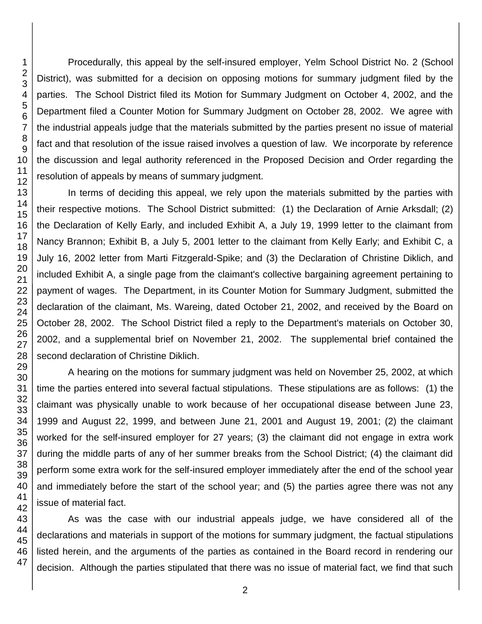3 4 5 6 7 8 9 10 11 12 13 14 15 16 17 18 19 20 21 22 23 24 25 26 27 District), was submitted for a decision on opposing motions for summary judgment filed by the parties. The School District filed its Motion for Summary Judgment on October 4, 2002, and the Department filed a Counter Motion for Summary Judgment on October 28, 2002. We agree with the industrial appeals judge that the materials submitted by the parties present no issue of material fact and that resolution of the issue raised involves a question of law. We incorporate by reference the discussion and legal authority referenced in the Proposed Decision and Order regarding the resolution of appeals by means of summary judgment. In terms of deciding this appeal, we rely upon the materials submitted by the parties with their respective motions. The School District submitted: (1) the Declaration of Arnie Arksdall; (2) the Declaration of Kelly Early, and included Exhibit A, a July 19, 1999 letter to the claimant from Nancy Brannon; Exhibit B, a July 5, 2001 letter to the claimant from Kelly Early; and Exhibit C, a July 16, 2002 letter from Marti Fitzgerald-Spike; and (3) the Declaration of Christine Diklich, and included Exhibit A, a single page from the claimant's collective bargaining agreement pertaining to payment of wages. The Department, in its Counter Motion for Summary Judgment, submitted the declaration of the claimant, Ms. Wareing, dated October 21, 2002, and received by the Board on October 28, 2002. The School District filed a reply to the Department's materials on October 30, 2002, and a supplemental brief on November 21, 2002. The supplemental brief contained the second declaration of Christine Diklich.

A hearing on the motions for summary judgment was held on November 25, 2002, at which time the parties entered into several factual stipulations. These stipulations are as follows: (1) the claimant was physically unable to work because of her occupational disease between June 23, 1999 and August 22, 1999, and between June 21, 2001 and August 19, 2001; (2) the claimant worked for the self-insured employer for 27 years; (3) the claimant did not engage in extra work during the middle parts of any of her summer breaks from the School District; (4) the claimant did perform some extra work for the self-insured employer immediately after the end of the school year and immediately before the start of the school year; and (5) the parties agree there was not any issue of material fact.

Procedurally, this appeal by the self-insured employer, Yelm School District No. 2 (School

As was the case with our industrial appeals judge, we have considered all of the declarations and materials in support of the motions for summary judgment, the factual stipulations listed herein, and the arguments of the parties as contained in the Board record in rendering our decision. Although the parties stipulated that there was no issue of material fact, we find that such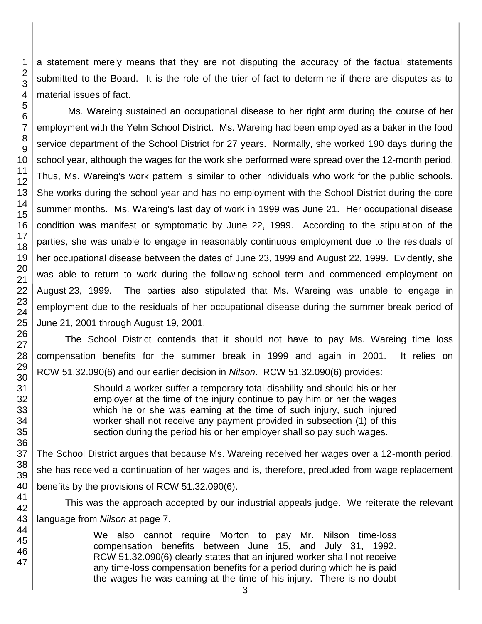a statement merely means that they are not disputing the accuracy of the factual statements submitted to the Board. It is the role of the trier of fact to determine if there are disputes as to material issues of fact.

Ms. Wareing sustained an occupational disease to her right arm during the course of her employment with the Yelm School District. Ms. Wareing had been employed as a baker in the food service department of the School District for 27 years. Normally, she worked 190 days during the school year, although the wages for the work she performed were spread over the 12-month period. Thus, Ms. Wareing's work pattern is similar to other individuals who work for the public schools. She works during the school year and has no employment with the School District during the core summer months. Ms. Wareing's last day of work in 1999 was June 21. Her occupational disease condition was manifest or symptomatic by June 22, 1999. According to the stipulation of the parties, she was unable to engage in reasonably continuous employment due to the residuals of her occupational disease between the dates of June 23, 1999 and August 22, 1999. Evidently, she was able to return to work during the following school term and commenced employment on August 23, 1999. The parties also stipulated that Ms. Wareing was unable to engage in employment due to the residuals of her occupational disease during the summer break period of June 21, 2001 through August 19, 2001.

The School District contends that it should not have to pay Ms. Wareing time loss compensation benefits for the summer break in 1999 and again in 2001. It relies on RCW 51.32.090(6) and our earlier decision in *Nilson*. RCW 51.32.090(6) provides:

> Should a worker suffer a temporary total disability and should his or her employer at the time of the injury continue to pay him or her the wages which he or she was earning at the time of such injury, such injured worker shall not receive any payment provided in subsection (1) of this section during the period his or her employer shall so pay such wages.

The School District argues that because Ms. Wareing received her wages over a 12-month period, she has received a continuation of her wages and is, therefore, precluded from wage replacement benefits by the provisions of RCW 51.32.090(6).

This was the approach accepted by our industrial appeals judge. We reiterate the relevant language from *Nilson* at page 7.

> We also cannot require Morton to pay Mr. Nilson time-loss compensation benefits between June 15, and July 31, 1992. RCW 51.32.090(6) clearly states that an injured worker shall not receive any time-loss compensation benefits for a period during which he is paid the wages he was earning at the time of his injury. There is no doubt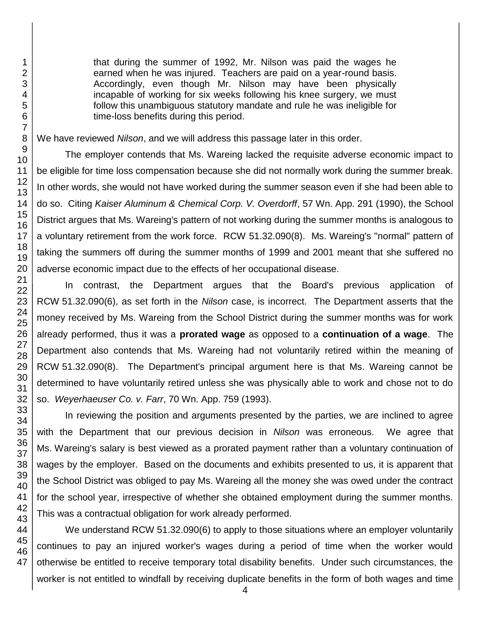that during the summer of 1992, Mr. Nilson was paid the wages he earned when he was injured. Teachers are paid on a year-round basis. Accordingly, even though Mr. Nilson may have been physically incapable of working for six weeks following his knee surgery, we must follow this unambiguous statutory mandate and rule he was ineligible for time-loss benefits during this period.

We have reviewed *Nilson*, and we will address this passage later in this order.

The employer contends that Ms. Wareing lacked the requisite adverse economic impact to be eligible for time loss compensation because she did not normally work during the summer break. In other words, she would not have worked during the summer season even if she had been able to do so. Citing *Kaiser Aluminum & Chemical Corp. V. Overdorff*, 57 Wn. App. 291 (1990), the School District argues that Ms. Wareing's pattern of not working during the summer months is analogous to a voluntary retirement from the work force. RCW 51.32.090(8). Ms. Wareing's "normal" pattern of taking the summers off during the summer months of 1999 and 2001 meant that she suffered no adverse economic impact due to the effects of her occupational disease.

In contrast, the Department argues that the Board's previous application of RCW 51.32.090(6), as set forth in the *Nilson* case, is incorrect. The Department asserts that the money received by Ms. Wareing from the School District during the summer months was for work already performed, thus it was a **prorated wage** as opposed to a **continuation of a wage**. The Department also contends that Ms. Wareing had not voluntarily retired within the meaning of RCW 51.32.090(8). The Department's principal argument here is that Ms. Wareing cannot be determined to have voluntarily retired unless she was physically able to work and chose not to do so. *Weyerhaeuser Co. v. Farr*, 70 Wn. App. 759 (1993).

In reviewing the position and arguments presented by the parties, we are inclined to agree with the Department that our previous decision in *Nilson* was erroneous. We agree that Ms. Wareing's salary is best viewed as a prorated payment rather than a voluntary continuation of wages by the employer. Based on the documents and exhibits presented to us, it is apparent that the School District was obliged to pay Ms. Wareing all the money she was owed under the contract for the school year, irrespective of whether she obtained employment during the summer months. This was a contractual obligation for work already performed.

We understand RCW 51.32.090(6) to apply to those situations where an employer voluntarily continues to pay an injured worker's wages during a period of time when the worker would otherwise be entitled to receive temporary total disability benefits. Under such circumstances, the worker is not entitled to windfall by receiving duplicate benefits in the form of both wages and time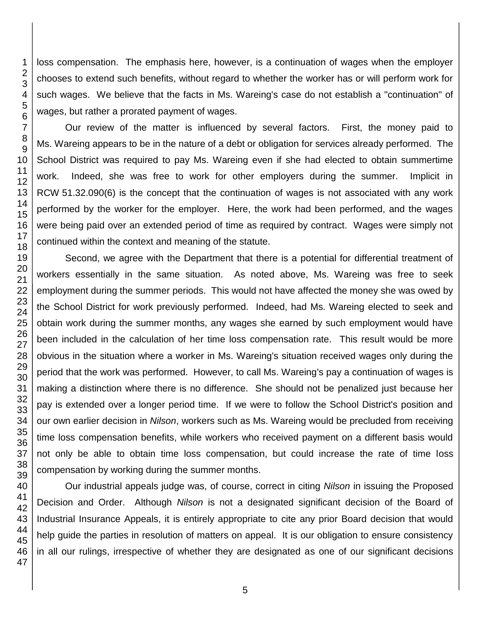loss compensation. The emphasis here, however, is a continuation of wages when the employer chooses to extend such benefits, without regard to whether the worker has or will perform work for such wages. We believe that the facts in Ms. Wareing's case do not establish a "continuation" of wages, but rather a prorated payment of wages.

Our review of the matter is influenced by several factors. First, the money paid to Ms. Wareing appears to be in the nature of a debt or obligation for services already performed. The School District was required to pay Ms. Wareing even if she had elected to obtain summertime work. Indeed, she was free to work for other employers during the summer. Implicit in RCW 51.32.090(6) is the concept that the continuation of wages is not associated with any work performed by the worker for the employer. Here, the work had been performed, and the wages were being paid over an extended period of time as required by contract. Wages were simply not continued within the context and meaning of the statute.

Second, we agree with the Department that there is a potential for differential treatment of workers essentially in the same situation. As noted above, Ms. Wareing was free to seek employment during the summer periods. This would not have affected the money she was owed by the School District for work previously performed. Indeed, had Ms. Wareing elected to seek and obtain work during the summer months, any wages she earned by such employment would have been included in the calculation of her time loss compensation rate. This result would be more obvious in the situation where a worker in Ms. Wareing's situation received wages only during the period that the work was performed. However, to call Ms. Wareing's pay a continuation of wages is making a distinction where there is no difference. She should not be penalized just because her pay is extended over a longer period time. If we were to follow the School District's position and our own earlier decision in *Nilson*, workers such as Ms. Wareing would be precluded from receiving time loss compensation benefits, while workers who received payment on a different basis would not only be able to obtain time loss compensation, but could increase the rate of time loss compensation by working during the summer months.

Our industrial appeals judge was, of course, correct in citing *Nilson* in issuing the Proposed Decision and Order. Although *Nilson* is not a designated significant decision of the Board of Industrial Insurance Appeals, it is entirely appropriate to cite any prior Board decision that would help guide the parties in resolution of matters on appeal. It is our obligation to ensure consistency in all our rulings, irrespective of whether they are designated as one of our significant decisions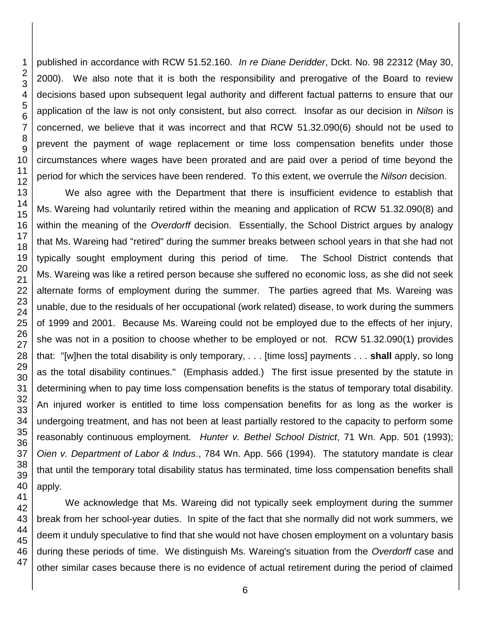published in accordance with RCW 51.52.160. *In re Diane Deridder*, Dckt. No. 98 22312 (May 30, 2000). We also note that it is both the responsibility and prerogative of the Board to review decisions based upon subsequent legal authority and different factual patterns to ensure that our application of the law is not only consistent, but also correct. Insofar as our decision in *Nilson* is concerned, we believe that it was incorrect and that RCW 51.32.090(6) should not be used to prevent the payment of wage replacement or time loss compensation benefits under those circumstances where wages have been prorated and are paid over a period of time beyond the period for which the services have been rendered. To this extent, we overrule the *Nilson* decision.

We also agree with the Department that there is insufficient evidence to establish that Ms. Wareing had voluntarily retired within the meaning and application of RCW 51.32.090(8) and within the meaning of the *Overdorff* decision. Essentially, the School District argues by analogy that Ms. Wareing had "retired" during the summer breaks between school years in that she had not typically sought employment during this period of time. The School District contends that Ms. Wareing was like a retired person because she suffered no economic loss, as she did not seek alternate forms of employment during the summer. The parties agreed that Ms. Wareing was unable, due to the residuals of her occupational (work related) disease, to work during the summers of 1999 and 2001. Because Ms. Wareing could not be employed due to the effects of her injury, she was not in a position to choose whether to be employed or not. RCW 51.32.090(1) provides that: "[w]hen the total disability is only temporary, . . . [time loss] payments . . . **shall** apply, so long as the total disability continues." (Emphasis added.) The first issue presented by the statute in determining when to pay time loss compensation benefits is the status of temporary total disability. An injured worker is entitled to time loss compensation benefits for as long as the worker is undergoing treatment, and has not been at least partially restored to the capacity to perform some reasonably continuous employment. *Hunter v. Bethel School District*, 71 Wn. App. 501 (1993); *Oien v. Department of Labor & Indus*., 784 Wn. App. 566 (1994). The statutory mandate is clear that until the temporary total disability status has terminated, time loss compensation benefits shall apply.

We acknowledge that Ms. Wareing did not typically seek employment during the summer break from her school-year duties. In spite of the fact that she normally did not work summers, we deem it unduly speculative to find that she would not have chosen employment on a voluntary basis during these periods of time. We distinguish Ms. Wareing's situation from the *Overdorff* case and other similar cases because there is no evidence of actual retirement during the period of claimed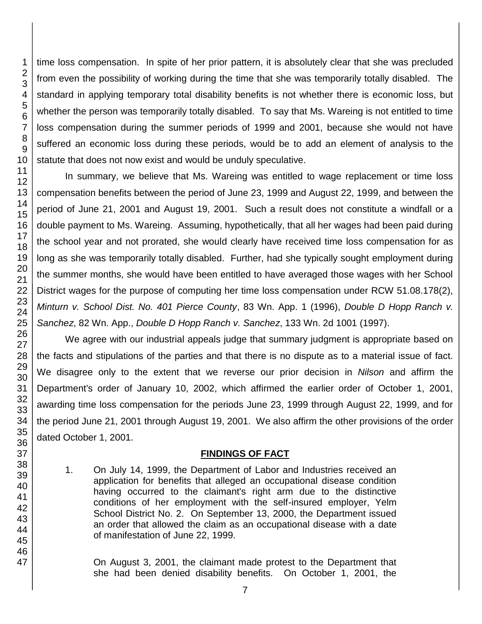time loss compensation. In spite of her prior pattern, it is absolutely clear that she was precluded from even the possibility of working during the time that she was temporarily totally disabled. The standard in applying temporary total disability benefits is not whether there is economic loss, but whether the person was temporarily totally disabled. To say that Ms. Wareing is not entitled to time loss compensation during the summer periods of 1999 and 2001, because she would not have suffered an economic loss during these periods, would be to add an element of analysis to the statute that does not now exist and would be unduly speculative.

In summary, we believe that Ms. Wareing was entitled to wage replacement or time loss compensation benefits between the period of June 23, 1999 and August 22, 1999, and between the period of June 21, 2001 and August 19, 2001. Such a result does not constitute a windfall or a double payment to Ms. Wareing. Assuming, hypothetically, that all her wages had been paid during the school year and not prorated, she would clearly have received time loss compensation for as long as she was temporarily totally disabled. Further, had she typically sought employment during the summer months, she would have been entitled to have averaged those wages with her School District wages for the purpose of computing her time loss compensation under RCW 51.08.178(2), *Minturn v. School Dist. No. 401 Pierce County*, 83 Wn. App. 1 (1996), *Double D Hopp Ranch v. Sanchez*, 82 Wn. App., *Double D Hopp Ranch v. Sanchez*, 133 Wn. 2d 1001 (1997).

We agree with our industrial appeals judge that summary judgment is appropriate based on the facts and stipulations of the parties and that there is no dispute as to a material issue of fact. We disagree only to the extent that we reverse our prior decision in *Nilson* and affirm the Department's order of January 10, 2002, which affirmed the earlier order of October 1, 2001, awarding time loss compensation for the periods June 23, 1999 through August 22, 1999, and for the period June 21, 2001 through August 19, 2001. We also affirm the other provisions of the order dated October 1, 2001.

#### **FINDINGS OF FACT**

1. On July 14, 1999, the Department of Labor and Industries received an application for benefits that alleged an occupational disease condition having occurred to the claimant's right arm due to the distinctive conditions of her employment with the self-insured employer, Yelm School District No. 2. On September 13, 2000, the Department issued an order that allowed the claim as an occupational disease with a date of manifestation of June 22, 1999.

On August 3, 2001, the claimant made protest to the Department that she had been denied disability benefits. On October 1, 2001, the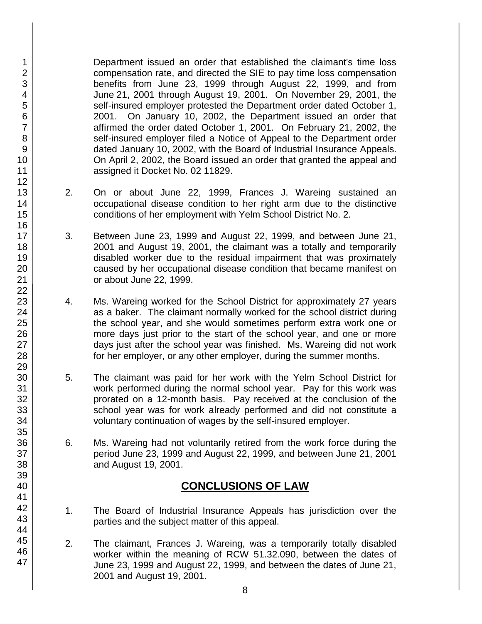Department issued an order that established the claimant's time loss compensation rate, and directed the SIE to pay time loss compensation benefits from June 23, 1999 through August 22, 1999, and from June 21, 2001 through August 19, 2001. On November 29, 2001, the self-insured employer protested the Department order dated October 1, 2001. On January 10, 2002, the Department issued an order that affirmed the order dated October 1, 2001. On February 21, 2002, the self-insured employer filed a Notice of Appeal to the Department order dated January 10, 2002, with the Board of Industrial Insurance Appeals. On April 2, 2002, the Board issued an order that granted the appeal and assigned it Docket No. 02 11829.

- 2. On or about June 22, 1999, Frances J. Wareing sustained an occupational disease condition to her right arm due to the distinctive conditions of her employment with Yelm School District No. 2.
- 3. Between June 23, 1999 and August 22, 1999, and between June 21, 2001 and August 19, 2001, the claimant was a totally and temporarily disabled worker due to the residual impairment that was proximately caused by her occupational disease condition that became manifest on or about June 22, 1999.
- 4. Ms. Wareing worked for the School District for approximately 27 years as a baker. The claimant normally worked for the school district during the school year, and she would sometimes perform extra work one or more days just prior to the start of the school year, and one or more days just after the school year was finished. Ms. Wareing did not work for her employer, or any other employer, during the summer months.
- 5. The claimant was paid for her work with the Yelm School District for work performed during the normal school year. Pay for this work was prorated on a 12-month basis. Pay received at the conclusion of the school year was for work already performed and did not constitute a voluntary continuation of wages by the self-insured employer.
- 6. Ms. Wareing had not voluntarily retired from the work force during the period June 23, 1999 and August 22, 1999, and between June 21, 2001 and August 19, 2001.

# **CONCLUSIONS OF LAW**

- 1. The Board of Industrial Insurance Appeals has jurisdiction over the parties and the subject matter of this appeal.
- 2. The claimant, Frances J. Wareing, was a temporarily totally disabled worker within the meaning of RCW 51.32.090, between the dates of June 23, 1999 and August 22, 1999, and between the dates of June 21, 2001 and August 19, 2001.